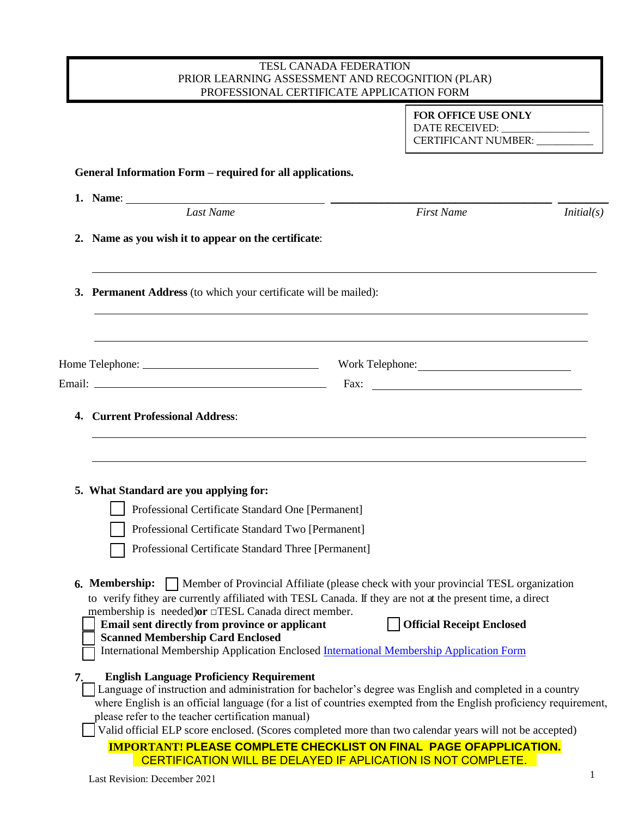## TESL CANADA FEDERATION PRIOR LEARNING ASSESSMENT AND RECOGNITION (PLAR) PROFESSIONAL CERTIFICATE APPLICATION FORM

**FOR OFFICE USE ONLY** DATE RECEIVED: CERTIFICANT NUMBER: \_\_\_\_\_\_\_\_\_\_\_

## **General Information Form – required for all applications.**

|    | Last Name                                                                                                                                                                                                                                                                                                                                                                                                                                                                | <b>First Name</b>                                                        | Initial(s) |  |  |
|----|--------------------------------------------------------------------------------------------------------------------------------------------------------------------------------------------------------------------------------------------------------------------------------------------------------------------------------------------------------------------------------------------------------------------------------------------------------------------------|--------------------------------------------------------------------------|------------|--|--|
|    | 2. Name as you wish it to appear on the certificate:                                                                                                                                                                                                                                                                                                                                                                                                                     |                                                                          |            |  |  |
|    | 3. Permanent Address (to which your certificate will be mailed):                                                                                                                                                                                                                                                                                                                                                                                                         |                                                                          |            |  |  |
|    |                                                                                                                                                                                                                                                                                                                                                                                                                                                                          |                                                                          |            |  |  |
|    |                                                                                                                                                                                                                                                                                                                                                                                                                                                                          |                                                                          |            |  |  |
|    | 4. Current Professional Address:                                                                                                                                                                                                                                                                                                                                                                                                                                         |                                                                          |            |  |  |
|    | 5. What Standard are you applying for:<br>Professional Certificate Standard One [Permanent]                                                                                                                                                                                                                                                                                                                                                                              |                                                                          |            |  |  |
|    | Professional Certificate Standard Two [Permanent]<br>Professional Certificate Standard Three [Permanent]                                                                                                                                                                                                                                                                                                                                                                 |                                                                          |            |  |  |
|    | <b>6. Membership:</b>   Member of Provincial Affiliate (please check with your provincial TESL organization<br>to verify fithey are currently affiliated with TESL Canada. If they are not at the present time, a direct<br>membership is needed) or □TESL Canada direct member.<br>Email sent directly from province or applicant<br><b>Scanned Membership Card Enclosed</b><br>International Membership Application Enclosed International Membership Application Form | <b>Official Receipt Enclosed</b>                                         |            |  |  |
| 7. | <b>English Language Proficiency Requirement</b><br>Language of instruction and administration for bachelor's degree was English and completed in a country<br>where English is an official language (for a list of countries exempted from the English proficiency requirement,<br>please refer to the teacher certification manual)<br>Valid official ELP score enclosed. (Scores completed more than two calendar years will not be accepted)                          |                                                                          |            |  |  |
|    |                                                                                                                                                                                                                                                                                                                                                                                                                                                                          | <b>IMPORTANT! PLEASE COMPLETE CHECKLIST ON FINAL PAGE OFAPPLICATION.</b> |            |  |  |
|    |                                                                                                                                                                                                                                                                                                                                                                                                                                                                          | CERTIFICATION WILL BE DELAYED IF APLICATION IS NOT COMPLETE.             |            |  |  |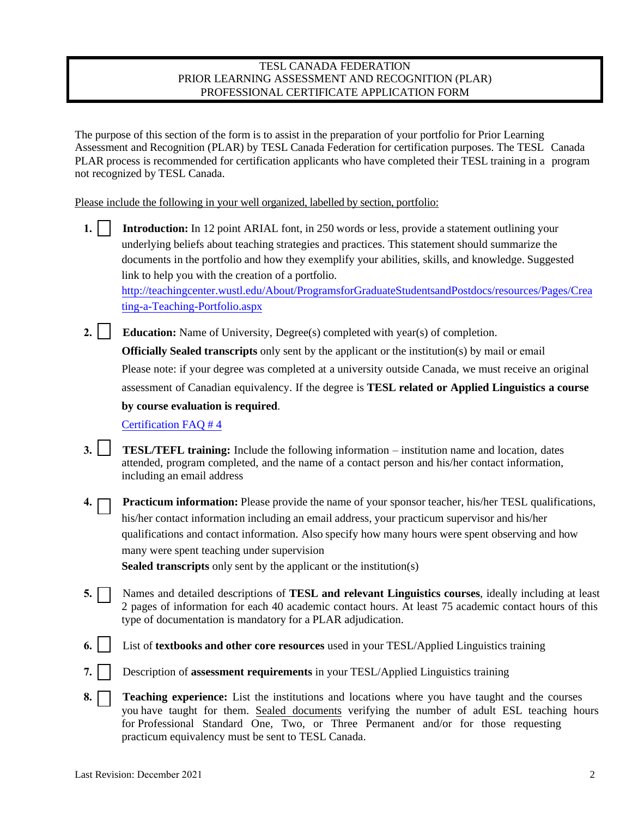## TESL CANADA FEDERATION PRIOR LEARNING ASSESSMENT AND RECOGNITION (PLAR) PROFESSIONAL CERTIFICATE APPLICATION FORM

The purpose of this section of the form is to assist in the preparation of your portfolio for Prior Learning Assessment and Recognition (PLAR) by TESL Canada Federation for certification purposes. The TESL Canada PLAR process is recommended for certification applicants who have completed their TESL training in a program not recognized by TESL Canada.

Please include the following in your well organized, labelled by section, portfolio:

**1. Introduction:** In 12 point ARIAL font, in 250 words or less, provide a statement outlining your underlying beliefs about teaching strategies and practices. This statement should summarize the documents in the portfolio and how they exemplify your abilities, skills, and knowledge. Suggested link to help you with the creation of a portfolio. <http://teachingcenter.wustl.edu/About/ProgramsforGraduateStudentsandPostdocs/resources/Pages/Crea> ting-a-Teaching-Portfolio.aspx

**2. Education:** Name of University, Degree(s) completed with year(s) of completion. **Officially Sealed transcripts** only sent by the applicant or the institution(s) by mail or email Please note: if your degree was completed at a university outside Canada, we must receive an original assessment of Canadian equivalency. If the degree is **TESL related or Applied Linguistics a course by course evaluation is required**.

Certification FAQ # 4

- **3. TESL/TEFL training:** Include the following information institution name and location, dates attended, program completed, and the name of a contact person and his/her contact information, including an email address
- **4. Practicum information:** Please provide the name of your sponsor teacher, his/her TESL qualifications, his/her contact information including an email address, your practicum supervisor and his/her qualifications and contact information. Also specify how many hours were spent observing and how many were spent teaching under supervision

**Sealed transcripts** only sent by the applicant or the institution(s)

- **5.** Names and detailed descriptions of **TESL and relevant Linguistics courses**, ideally including at least 2 pages of information for each 40 academic contact hours. At least 75 academic contact hours of this type of documentation is mandatory for a PLAR adjudication.
- **6.** List of **textbooks and other core resources** used in your TESL/Applied Linguistics training
- **7.** Description of **assessment requirements** in your TESL/Applied Linguistics training
- **8. Teaching experience:** List the institutions and locations where you have taught and the courses you have taught for them. Sealed documents verifying the number of adult ESL teaching hours for Professional Standard One, Two, or Three Permanent and/or for those requesting practicum equivalency must be sent to TESL Canada.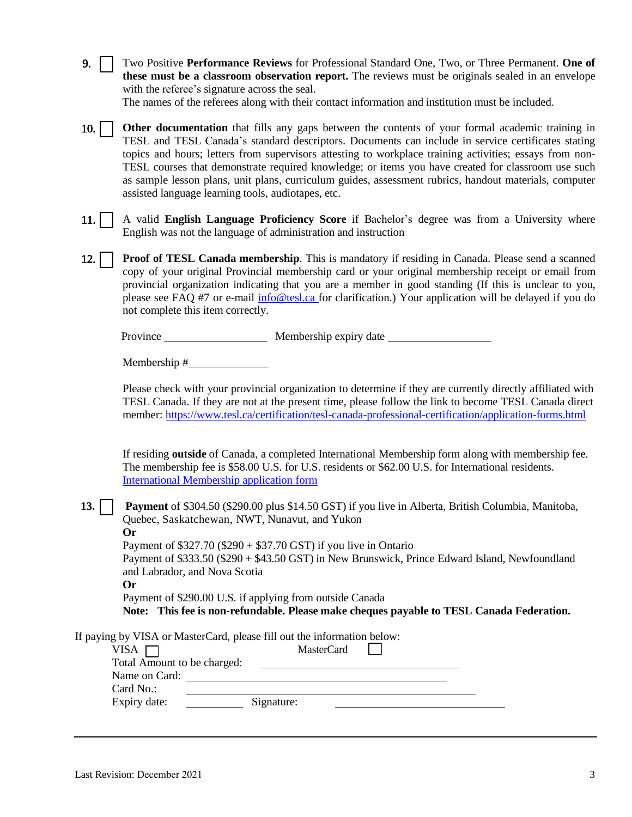|  | 9. Two Positive Performance Reviews for Professional Standard One, Two, or Three Permanent. One of |
|--|----------------------------------------------------------------------------------------------------|
|  | these must be a classroom observation report. The reviews must be originals sealed in an envelope  |
|  | with the referee's signature across the seal.                                                      |
|  | The names of the referees along with their contact information and institution must be included.   |
|  |                                                                                                    |

10. **Other documentation** that fills any gaps between the contents of your formal academic training in TESL and TESL Canada's standard descriptors. Documents can include in service certificates stating topics and hours; letters from supervisors attesting to workplace training activities; essays from non-TESL courses that demonstrate required knowledge; or items you have created for classroom use such as sample lesson plans, unit plans, curriculum guides, assessment rubrics, handout materials, computer assisted language learning tools, audiotapes, etc.

- 11. A valid **English Language Proficiency Score** if Bachelor's degree was from a University where English was not the language of administration and instruction
- 12. **Proof of TESL Canada membership**. This is mandatory if residing in Canada. Please send a scanned copy of your original Provincial membership card or your original membership receipt or email from provincial organization indicating that you are a member in good standing (If this is unclear to you, please see FAQ #7 or e-mail [info@tesl.ca](mailto:info@tesl.ca) for clarification.) Your application will be delayed if you do not complete this item correctly.

Province Membership expiry date

Membership #

Please check with your provincial organization to determine if they are currently directly affiliated with TESL Canada. If they are not at the present time, please follow the link to become TESL Canada direct member: https:/[/www.tesl.ca/certification/tesl-canada-professional-certification/application-forms.html](http://www.tesl.ca/certification/tesl-canada-professional-certification/application-forms.html)

If residing **outside** of Canada, a completed International Membership form along with membership fee. The membership fee is \$58.00 U.S. for U.S. residents or \$62.00 U.S. for International residents. International Membership application form

## **13. Payment** of \$304.50 (\$290.00 plus \$14.50 GST) if you live in Alberta, British Columbia, Manitoba, Quebec, Saskatchewan, NWT, Nunavut, and Yukon **Or**

Payment of  $$327.70$  ( $$290 + $37.70$  GST) if you live in Ontario

Payment of \$333.50 (\$290 + \$43.50 GST) in New Brunswick, Prince Edward Island, Newfoundland and Labrador, and Nova Scotia

**Or**

Payment of \$290.00 U.S. if applying from outside Canada

**Note: This fee is non-refundable. Please make cheques payable to TESL Canada Federation.**

|                             | If paying by VISA or MasterCard, please fill out the information below: |  |  |
|-----------------------------|-------------------------------------------------------------------------|--|--|
| VISA                        | <b>MasterCard</b>                                                       |  |  |
| Total Amount to be charged: |                                                                         |  |  |
| Name on Card:               |                                                                         |  |  |
| Card No.:                   |                                                                         |  |  |
| Expiry date:                | Signature:                                                              |  |  |